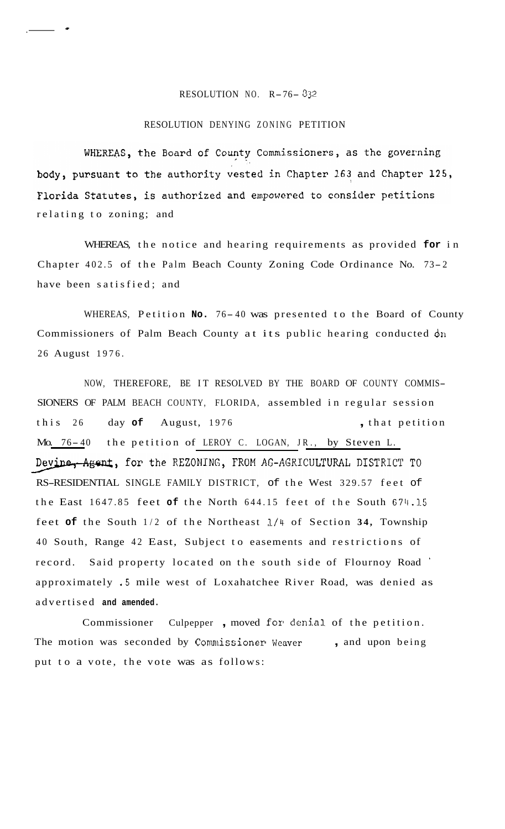## RESOLUTION NO. R-76- *<sup>332</sup>*

 $\frac{1}{\sqrt{2}}$ 

## RESOLUTION DENYING ZONING PETITION

WHEREAS, the Board of County Commissioners, as the governing body, pursuant to the authority vested in Chapter 163 and Chapter 125, Florida Statutes, is authorized and empowered to consider petitions relating to zoning; and

WHEREAS, the notice and hearing requirements as provided **for** in Chapter 402.5 of the Palm Beach County Zoning Code Ordinance No. 73- <sup>2</sup> have been satisfied; and

WHEREAS, Petition No. 76-40 was presented to the Board of County Commissioners of Palm Beach County at its public hearing conducted dn 26 August 1976.

NOW, THEREFORE, BE IT RESOLVED BY THE BOARD OF COUNTY COMMIS-SIONERS OF PALM BEACH COUNTY, FLORIDA, assembled in regular session this 26 day of August, 1976 , that petition Mo. 76-40 the petition of LEROY C. LOGAN, JR., by Steven L. Devine, Agent, for the REZONING, FROM AG-AGRICULTURAL DISTRICT TO RS-RESIDENTIAL SINGLE FAMILY DISTRICT, of the West 329.57 feet of the East 1647.85 feet **of** the North 644.15 feet of the South 674.15 feet **of** the South 1/2 of the Northeast l/4 of Section **34,** Township 40 South, Range 42 East, Subject to easements and restrictions of record. Said property located on the south side of Flournoy Road ' approximately **.5** mile west of Loxahatchee River Road, was denied as advertised **and amended.** 

Commissioner Culpepper, moved for denial of the petition. The motion was seconded by Commissioner Weaver , and upon being put to a vote, the vote was as follows: